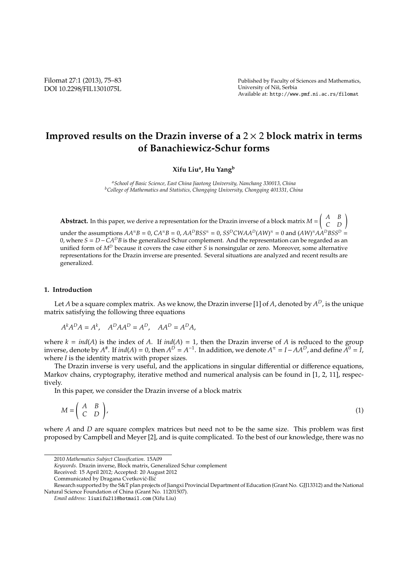# **Improved results on the Drazin inverse of a** 2 × 2 **block matrix in terms of Banachiewicz-Schur forms**

**Xifu Liu<sup>a</sup> , Hu Yang<sup>b</sup>**

*<sup>a</sup>School of Basic Science, East China Jiaotong University, Nanchang 330013, China <sup>b</sup>College of Mathematics and Statistics, Chongqing University, Chongqing 401331, China*

**Abstract.** In this paper, we derive a representation for the Drazin inverse of a block matrix  $M = \begin{pmatrix} A & B \ C & D \end{pmatrix}$ 

 $\mu$ under the assumptions  $AA^{\pi}B = 0$ ,  $CA^{\pi}B = 0$ ,  $AA^DBSS^{\pi} = 0$ ,  $SS^DCWAA^D(AW)^{\pi} = 0$  and  $(AW)^{\pi}AA^DBSS^D = 0$ 0, where *S* = *D*−*CA<sup>D</sup>B* is the generalized Schur complement. And the representation can be regarded as an unified form of *M<sup>D</sup>* because it covers the case either *S* is nonsingular or zero. Moreover, some alternative representations for the Drazin inverse are presented. Several situations are analyzed and recent results are generalized.

## **1. Introduction**

Let *A* be a square complex matrix. As we know, the Drazin inverse [1] of *A*, denoted by *A <sup>D</sup>*, is the unique matrix satisfying the following three equations

$$
A^k A^D A = A^k, \quad A^D A A^D = A^D, \quad A A^D = A^D A,
$$

where  $k = ind(A)$  is the index of *A*. If  $ind(A) = 1$ , then the Drazin inverse of *A* is reduced to the group inverse, denote by  $A^{\#}$ . If  $ind(A) = 0$ , then  $A^D = A^{-1}$ . In addition, we denote  $A^{\pi} = I - AA^D$ , and define  $A^0 = I$ , where *I* is the identity matrix with proper sizes.

The Drazin inverse is very useful, and the applications in singular differential or difference equations, Markov chains, cryptography, iterative method and numerical analysis can be found in [1, 2, 11], respectively.

In this paper, we consider the Drazin inverse of a block matrix

$$
M = \begin{pmatrix} A & B \\ C & D \end{pmatrix},\tag{1}
$$

where *A* and *D* are square complex matrices but need not to be the same size. This problem was first proposed by Campbell and Meyer [2], and is quite complicated. To the best of our knowledge, there was no

<sup>2010</sup> *Mathematics Subject Classification*. 15A09

*Keywords*. Drazin inverse, Block matrix, Generalized Schur complement

Received: 15 April 2012; Accepted: 20 August 2012

Communicated by Dragana Cvetković-Ilić

Research supported by the S&T plan projects of Jiangxi Provincial Department of Education (Grant No. GJJ13312) and the National Natural Science Foundation of China (Grant No. 11201507).

*Email address:* liuxifu211@hotmail.com (Xifu Liu)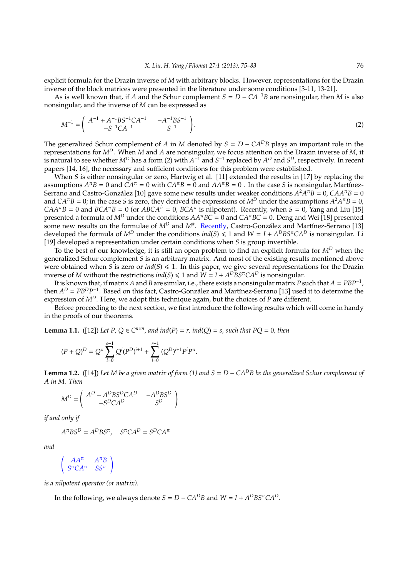explicit formula for the Drazin inverse of *M* with arbitrary blocks. However, representations for the Drazin inverse of the block matrices were presented in the literature under some conditions [3-11, 13-21].

As is well known that, if *A* and the Schur complement  $S = D - CA^{-1}B$  are nonsingular, then *M* is also nonsingular, and the inverse of *M* can be expressed as

$$
M^{-1} = \begin{pmatrix} A^{-1} + A^{-1}BS^{-1}CA^{-1} & -A^{-1}BS^{-1} \\ -S^{-1}CA^{-1} & S^{-1} \end{pmatrix}.
$$
 (2)

The generalized Schur complement of *A* in *M* denoted by  $S = D - CA^D B$  plays an important role in the representations for *M<sup>D</sup>*. When *M* and *A* are nonsingular, we focus attention on the Drazin inverse of *M*, it is natural to see whether  $M^D$  has a form (2) with  $A^{-1}$  and  $S^{-1}$  replaced by  $A^D$  and  $S^D$ , respectively. In recent papers [14, 16], the necessary and sufficient conditions for this problem were established.

When *S* is either nonsingular or zero, Hartwig et al. [11] extended the results in [17] by replacing the assumptions  $A^{\pi}B = 0$  and  $CA^{\pi} = 0$  with  $CA^{\pi}B = 0$  and  $AA^{\pi}B = 0$ . In the case *S* is nonsingular, Martínez-Serrano and Castro-González [10] gave some new results under weaker conditions  $A^2A^{\pi}B = 0$ , CAA $^{\pi}B = 0$ and *CA*<sup> $\pi$ </sup>*B* = 0; in the case *S* is zero, they derived the expressions of  $M^D$  under the assumptions  $A^2A^{\pi}B = 0$ ,  $CAA^{\pi}B = 0$  and  $BCA^{\pi}B = 0$  (or  $ABCA^{\pi} = 0$ ,  $BCA^{\pi}$  is nilpotent). Recently, when  $S = 0$ , Yang and Liu [15] presented a formula of *M<sup>D</sup>* under the conditions *AA*<sup>π</sup>*BC* = 0 and *CA*<sup>π</sup>*BC* = 0. Deng and Wei [18] presented some new results on the formulae of  $M^D$  and  $M^{\#}$ . Recently, Castro-González and Martínez-Serrano [13] developed the formula of  $M^D$  under the conditions  $ind(S) \leq 1$  and  $W = I + A^D B S^{\pi} C A^D$  is nonsingular. Li [19] developed a representation under certain conditions when *S* is group invertible.

To the best of our knowledge, it is still an open problem to find an explicit formula for *M<sup>D</sup>* when the generalized Schur complement *S* is an arbitrary matrix. And most of the existing results mentioned above were obtained when *S* is zero or  $ind(S) \le 1$ . In this paper, we give several representations for the Drazin inverse of *M* without the restrictions  $ind(S) \leq 1$  and  $W = I + A^D B S^{\pi} C A^D$  is nonsingular.

It is known that, if matrix *A* and *B* are similar, i.e., there exists a nonsingular matrix *P* such that *A* = *PBP*−<sup>1</sup> , then  $A^D = P B^D P^{-1}$ . Based on this fact, Castro-González and Martínez-Serrano [13] used it to determine the expression of *M<sup>D</sup>*. Here, we adopt this technique again, but the choices of *P* are different.

Before proceeding to the next section, we first introduce the following results which will come in handy in the proofs of our theorems.

**Lemma 1.1.** ([12]) *Let P, Q*  $\in C^{n \times n}$ *, and ind*(*P*) = *r*, *ind*(*Q*) = *s*, *such that PQ* = 0*, then* 

$$
(P+Q)^D = Q^{\pi} \sum_{i=0}^{s-1} Q^i (P^D)^{i+1} + \sum_{i=0}^{r-1} (Q^D)^{i+1} P^i P^{\pi}.
$$

**Lemma 1.2.** ([14]) *Let M be a given matrix of form (1) and S* = *D* − *CA<sup>D</sup>B be the generalized Schur complement of A in M. Then*

$$
M^D = \left( \begin{array}{cc} A^D + A^D B S^D C A^D & -A^D B S^D \\ -S^D C A^D & S^D \end{array} \right)
$$

*if and only if*

(

$$
A^{\pi} B S^D = A^D B S^{\pi}, \quad S^{\pi} C A^D = S^D C A^{\pi}
$$

*and*

$$
\begin{array}{cc}AA^{\pi} & A^{\pi}B \\ S^{\pi}CA^{\pi} & SS^{\pi}\end{array}
$$

*is a nilpotent operator (or matrix).*

In the following, we always denote  $S = D - CA^D B$  and  $W = I + A^D B S^T C A^D$ .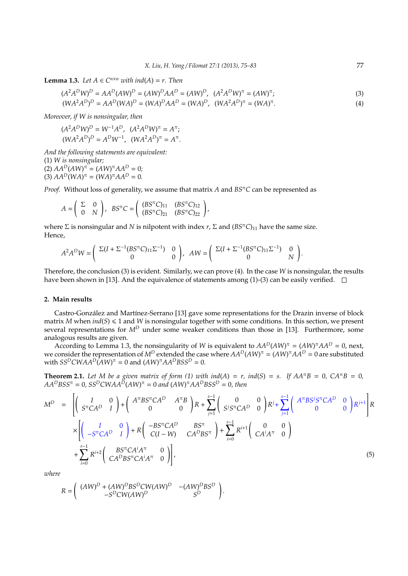**Lemma 1.3.** *Let*  $A \in C^{n \times n}$  *with ind*( $A$ ) = *r. Then* 

$$
(A^{2}A^{D}W)^{D} = AA^{D}(AW)^{D} = (AW)^{D}AA^{D} = (AW)^{D}, \ (A^{2}A^{D}W)^{\pi} = (AW)^{\pi};
$$
  
\n
$$
(WA^{2}A^{D})^{D} = AA^{D}(WA)^{D} = (WA)^{D}AA^{D} = (WA)^{D}, \ (WA^{2}A^{D})^{\pi} = (WA)^{\pi}.
$$
\n(3)

*Moreover, if W is nonsingular, then*

$$
(A^{2}A^{D}W)^{D} = W^{-1}A^{D}, (A^{2}A^{D}W)^{\pi} = A^{\pi};
$$
  

$$
(WA^{2}A^{D})^{D} = A^{D}W^{-1}, (WA^{2}A^{D})^{\pi} = A^{\pi}.
$$

*And the following statements are equivalent:* (1) *W is nonsingular;*  $(AW)^{\pi} = (AW)^{\pi}AA^{D} = 0;$  $(3)$   $AA^D(WA)^{\pi} = (WA)^{\pi}AA^D = 0.$ 

*Proof.* Without loss of generality, we assume that matrix *A* and *BS*<sup>π</sup>*C* can be represented as

$$
A=\left(\begin{array}{cc}\Sigma & 0 \\ 0 & N\end{array}\right),\;\; BS^{\pi}C=\left(\begin{array}{cc}(BS^{\pi}C)_{11} & (BS^{\pi}C)_{12} \\ (BS^{\pi}C)_{21} & (BS^{\pi}C)_{22}\end{array}\right),
$$

where  $\Sigma$  is nonsingular and *N* is nilpotent with index *r*,  $\Sigma$  and  $(BS<sup>\pi</sup>C)_{11}$  have the same size. Hence,

$$
A^2A^DW = \left( \begin{array}{cc} \Sigma(I + \Sigma^{-1}(BS^{\pi}C)_{11}\Sigma^{-1}) & 0 \\ 0 & 0 \end{array} \right), \quad AW = \left( \begin{array}{cc} \Sigma(I + \Sigma^{-1}(BS^{\pi}C)_{11}\Sigma^{-1}) & 0 \\ 0 & N \end{array} \right).
$$

Therefore, the conclusion (3) is evident. Similarly, we can prove (4). In the case *W* is nonsingular, the results have been shown in [13]. And the equivalence of statements among (1)-(3) can be easily verified.  $\square$ 

#### **2. Main results**

Castro-González and Martínez-Serrano [13] gave some representations for the Drazin inverse of block matrix *M* when  $ind(S) \le 1$  and *W* is nonsingular together with some conditions. In this section, we present several representations for  $M^D$  under some weaker conditions than those in [13]. Furthermore, some analogous results are given.

According to Lemma 1.3, the nonsingularity of *W* is equivalent to  $AA^D(AW)^{\pi} = (AW)^{\pi}AA^D = 0$ , next, we consider the representation of  $M^D$  extended the case where  $AA^D(AW)^{\pi}=(AW)^{\pi}AA^D=0$  are substituted with  $SS^D CWAA^D(AW)^{\pi} = 0$  and  $(AW)^{\pi}AA^DBSS^D = 0$ .

**Theorem 2.1.** Let M be a given matrix of form (1) with ind(A) = r, ind(S) = s. If  $AA^{\pi}B = 0$ ,  $CA^{\pi}B = 0$ ,  $AA^DBSS^{\pi} = 0$ ,  $SS^D CWAA^D(AW)^{\pi} = 0$  and  $(AW)^{\pi}AA^DBSS^D = 0$ , then

$$
M^{D} = \left[ \begin{pmatrix} I & 0 \\ S^{\pi}CA^{D} & I \end{pmatrix} + \begin{pmatrix} A^{\pi}BS^{\pi}CA^{D} & A^{\pi}B \\ 0 & 0 \end{pmatrix} R + \sum_{j=1}^{s-1} \begin{pmatrix} 0 & 0 \\ S^{j}S^{\pi}CA^{D} & 0 \end{pmatrix} R^{j} + \sum_{j=1}^{s-1} \begin{pmatrix} A^{\pi}BS^{j}S^{\pi}CA^{D} & 0 \\ 0 & 0 \end{pmatrix} R^{j+1} \right] R
$$
  
\n
$$
\times \left[ \begin{pmatrix} I & 0 \\ -S^{\pi}CA^{D} & I \end{pmatrix} + R \begin{pmatrix} -BS^{\pi}CA^{D} & BS^{\pi} \\ C(I-W) & CA^{D}BS^{\pi} \end{pmatrix} + \sum_{i=0}^{r-1} R^{i+1} \begin{pmatrix} 0 & 0 \\ CA^{i}A^{\pi} & 0 \end{pmatrix} \right]
$$
  
\n
$$
+ \sum_{i=0}^{r-1} R^{i+2} \begin{pmatrix} BS^{\pi}CA^{i}A^{\pi} & 0 \\ CA^{D}BS^{\pi}CA^{i}A^{\pi} & 0 \end{pmatrix} ,
$$
 (5)

.

*where*

$$
R = \left(\begin{array}{cc}(AW)^D + (AW)^DBS^DCW(AW)^D & -(AW)^DBS^D\\ -S^DCW(AW)^D & S^D\end{array}\right)
$$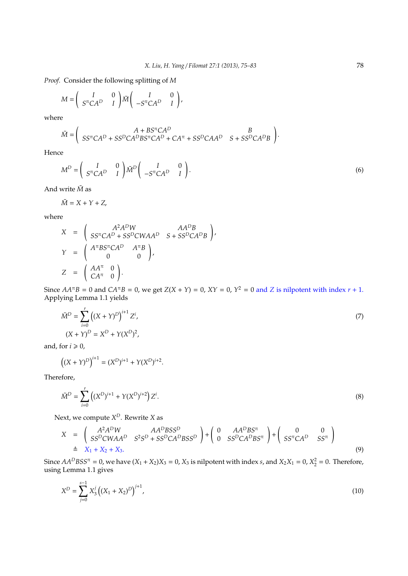*Proof.* Consider the following splitting of *M*

$$
M = \begin{pmatrix} I & 0 \\ S^{\pi}CA^{D} & I \end{pmatrix} \widetilde{M} \begin{pmatrix} I & 0 \\ -S^{\pi}CA^{D} & I \end{pmatrix},
$$

where

$$
\tilde{M} = \begin{pmatrix} A + BS^{\pi}CA^{D} & B \\ SS^{\pi}CA^{D} + SS^{D}CA^{D}BS^{\pi}CA^{D} + CA^{\pi} + SS^{D}CAA^{D} & S + SS^{D}CA^{D}B \end{pmatrix}
$$

Hence

$$
M^D = \begin{pmatrix} I & 0 \\ S^{\pi}CA^D & I \end{pmatrix} \tilde{M}^D \begin{pmatrix} I & 0 \\ -S^{\pi}CA^D & I \end{pmatrix}.
$$
 (6)

.

And write *M*˜ as

$$
\tilde{M} = X + Y + Z,
$$

where

$$
X = \begin{pmatrix} A^2 A^D W & A A^D B \\ S S^{\pi} C A^D + S S^D C W A A^D & S + S S^D C A^D B \end{pmatrix},
$$
  
\n
$$
Y = \begin{pmatrix} A^{\pi} B S^{\pi} C A^D & A^{\pi} B \\ 0 & 0 \end{pmatrix},
$$
  
\n
$$
Z = \begin{pmatrix} AA^{\pi} & 0 \\ CA^{\pi} & 0 \end{pmatrix}.
$$

Since  $AA^{\pi}B = 0$  and  $CA^{\pi}B = 0$ , we get  $Z(X + Y) = 0$ ,  $XY = 0$ ,  $Y^2 = 0$  and  $Z$  is nilpotent with index  $r + 1$ . Applying Lemma 1.1 yields

$$
\tilde{M}^{D} = \sum_{i=0}^{r} ((X + Y)^{D})^{i+1} Z^{i},
$$
  
(X + Y)<sup>D</sup> = X<sup>D</sup> + Y(X<sup>D</sup>)<sup>2</sup>, (7)

and, for  $i \geq 0$ ,

$$
((X + Y)^D)^{i+1} = (X^D)^{i+1} + Y(X^D)^{i+2}.
$$

Therefore,

$$
\tilde{M}^D = \sum_{i=0}^r \left( (X^D)^{i+1} + Y(X^D)^{i+2} \right) Z^i.
$$
\n(8)

Next, we compute *X <sup>D</sup>*. Rewrite *X* as

$$
X = \begin{pmatrix} A^2 A^D W & A A^D B S S^D \\ SS^D C W A A^D & S^2 S^D + S S^D C A^D B S S^D \end{pmatrix} + \begin{pmatrix} 0 & A A^D B S^{\pi} \\ 0 & S S^D C A^D B S^{\pi} \end{pmatrix} + \begin{pmatrix} 0 & 0 \\ SS^{\pi} C A^D & S S^{\pi} \end{pmatrix}
$$
  
\n
$$
\triangleq X_1 + X_2 + X_3.
$$
\n(9)

Since  $AA^DBSS^{\pi} = 0$ , we have  $(X_1 + X_2)X_3 = 0$ ,  $X_3$  is nilpotent with index *s*, and  $X_2X_1 = 0$ ,  $X_2^2 = 0$ . Therefore, using Lemma 1.1 gives

$$
X^{D} = \sum_{j=0}^{s-1} X_{3}^{j} \left( (X_{1} + X_{2})^{D} \right)^{j+1}, \tag{10}
$$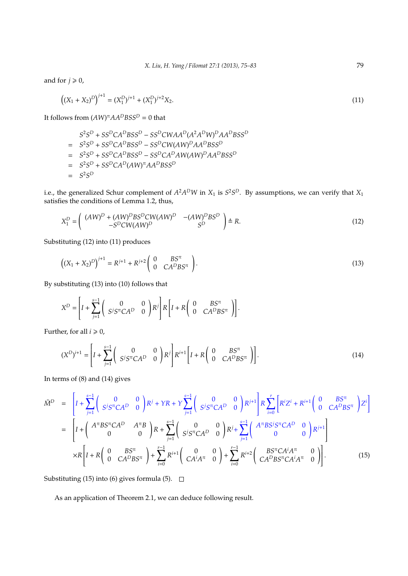and for  $j \ge 0$ ,

$$
((X_1 + X_2)^D)^{j+1} = (X_1^D)^{j+1} + (X_1^D)^{j+2} X_2.
$$
\n(11)

It follows from  $(AW)^{\pi}AA^DBSS^D = 0$  that

 $S^2S^D + SS^DCA^DBSS^D - SS^DCWAA^D(A^2A^DW)^DAA^DBSS^D$  $=$   $S^2S^D + SS^DCA^DBSS^D - SS^DCW(AW)^DAA^DBSS^D$ = *S* 2*S <sup>D</sup>* <sup>+</sup> *SS<sup>D</sup>CA<sup>D</sup>BSS<sup>D</sup>* <sup>−</sup> *SS<sup>D</sup>CA<sup>D</sup>AW*(*AW*) *<sup>D</sup>AA<sup>D</sup>BSS<sup>D</sup>*  $=$   $S^2S^D + SS^DCA^D(AW)^{\pi}AA^DBS^D$  $=$   $S^2S^D$ 

i.e., the generalized Schur complement of  $A^2A^DW$  in  $X_1$  is  $S^2S^D$ . By assumptions, we can verify that  $X_1$ satisfies the conditions of Lemma 1.2, thus,

$$
X_1^D = \begin{pmatrix} (AW)^D + (AW)^D B S^D C W (AW)^D & -(AW)^D B S^D \\ -S^D C W (AW)^D & S^D \end{pmatrix} \triangleq R.
$$
 (12)

Substituting (12) into (11) produces

$$
((X_1 + X_2)^D)^{j+1} = R^{j+1} + R^{j+2} \begin{pmatrix} 0 & BS^{\pi} \\ 0 & CA^D B S^{\pi} \end{pmatrix}.
$$
 (13)

By substituting (13) into (10) follows that

$$
X^D = \left[I + \sum_{j=1}^{s-1} \begin{pmatrix} 0 & 0 \\ S^j S^\pi C A^D & 0 \end{pmatrix} R^j\right] R \left[I + R \begin{pmatrix} 0 & BS^\pi \\ 0 & CA^D B S^\pi \end{pmatrix}\right].
$$

Further, for all  $i \geq 0$ ,

$$
(X^{D})^{i+1} = \left[I + \sum_{j=1}^{s-1} \begin{pmatrix} 0 & 0 \ S^{j}S^{\pi}C A^{D} & 0 \end{pmatrix} R^{j}\right] R^{i+1} \left[I + R \begin{pmatrix} 0 & BS^{\pi} \\ 0 & CA^{D}BS^{\pi} \end{pmatrix}\right].
$$
 (14)

In terms of (8) and (14) gives

$$
\tilde{M}^{D} = \left[I + \sum_{j=1}^{s-1} \left(\begin{array}{cc} 0 & 0 \\ S^{j}S^{\pi}CA^{D} & 0 \end{array}\right)R^{j} + YR + Y \sum_{j=1}^{s-1} \left(\begin{array}{cc} 0 & 0 \\ S^{j}S^{\pi}CA^{D} & 0 \end{array}\right)R^{j+1}\right]R \sum_{i=0}^{r} \left[R^{i}Z^{i} + R^{i+1}\left(\begin{array}{cc} 0 & BS^{\pi} \\ 0 & C A^{D}BS^{\pi} \end{array}\right)Z^{i}\right]
$$
\n
$$
= \left[I + \left(\begin{array}{cc} A^{\pi}BS^{\pi}CA^{D} & A^{\pi}B \\ 0 & 0 \end{array}\right)R + \sum_{j=1}^{s-1} \left(\begin{array}{cc} 0 & 0 \\ S^{j}S^{\pi}CA^{D} & 0 \end{array}\right)R^{j} + \sum_{j=1}^{s-1} \left(\begin{array}{cc} A^{\pi}BS^{j}S^{\pi}CA^{D} & 0 \\ 0 & 0 \end{array}\right)R^{j+1}\right]
$$
\n
$$
\times R \left[I + R \left(\begin{array}{cc} 0 & BS^{\pi} \\ 0 & CA^{D}BS^{\pi} \end{array}\right) + \sum_{i=0}^{r-1} R^{i+1} \left(\begin{array}{cc} 0 & 0 \\ CA^{i}A^{\pi} & 0 \end{array}\right) + \sum_{i=0}^{r-1} R^{i+2} \left(\begin{array}{cc} BS^{\pi}CA^{i}A^{\pi} & 0 \\ CA^{D}BS^{\pi}CA^{i}A^{\pi} & 0 \end{array}\right)\right].
$$
\n(15)

Substituting (15) into (6) gives formula (5).  $\Box$ 

As an application of Theorem 2.1, we can deduce following result.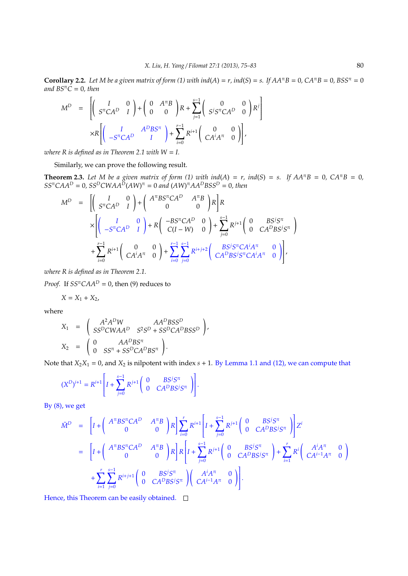**Corollary 2.2.** Let M be a given matrix of form (1) with ind( $A$ ) =  $r$ , ind( $S$ ) =  $s$ . If  $AA^{\pi}B = 0$ ,  $CA^{\pi}B = 0$ ,  $BSS^{\pi} = 0$  $and BS<sup>π</sup>C = 0, then$ 

$$
M^{D} = \left[ \begin{pmatrix} I & 0 \\ S^{\pi}CA^{D} & I \end{pmatrix} + \begin{pmatrix} 0 & A^{\pi}B \\ 0 & 0 \end{pmatrix} R + \sum_{j=1}^{s-1} \begin{pmatrix} 0 & 0 \\ S^{j}S^{\pi}CA^{D} & 0 \end{pmatrix} R^{j} \right]
$$

$$
\times R \left[ \begin{pmatrix} I & A^{D}BS^{\pi} \\ -S^{\pi}CA^{D} & I \end{pmatrix} + \sum_{i=0}^{r-1} R^{i+1} \begin{pmatrix} 0 & 0 \\ CA^{i}A^{\pi} & 0 \end{pmatrix} \right],
$$

*where R is defined as in Theorem 2.1 with*  $W = I$ *.* 

Similarly, we can prove the following result.

**Theorem 2.3.** Let M be a given matrix of form (1) with ind(A) = r, ind(S) = s. If  $AA^{\pi}B = 0$ ,  $CA^{\pi}B = 0$ ,  $SS^{\pi}CAA^{D} = 0$ ,  $SS^{D}CWAA^{D}(AW)^{\pi} = 0$  and  $(AW)^{\pi}AA^{D}BSS^{D} = 0$ , then

$$
M^{D} = \left[ \begin{pmatrix} I & 0 \\ S^{\pi}CA^{D} & I \end{pmatrix} + \begin{pmatrix} A^{\pi}BS^{\pi}CA^{D} & A^{\pi}B \\ 0 & 0 \end{pmatrix} R \right] R
$$
  
\n
$$
\times \left[ \begin{pmatrix} I & 0 \\ -S^{\pi}CA^{D} & I \end{pmatrix} + R \begin{pmatrix} -BS^{\pi}CA^{D} & 0 \\ C(I-W) & 0 \end{pmatrix} + \sum_{j=0}^{s-1} R^{j+1} \begin{pmatrix} 0 & BS^{j}S^{\pi} \\ 0 & CA^{D}BS^{j}S^{\pi} \end{pmatrix} + \sum_{i=0}^{r-1} R^{i+1} \begin{pmatrix} 0 & 0 \\ CA^{i}A^{\pi} & 0 \end{pmatrix} + \sum_{i=0}^{r-1} \sum_{j=0}^{S-1} R^{i+j+2} \begin{pmatrix} BS^{j}S^{\pi}CA^{i}A^{\pi} & 0 \\ CA^{D}BS^{j}S^{\pi}CA^{i}A^{\pi} & 0 \end{pmatrix} \right],
$$

*where R is defined as in Theorem 2.1.*

*Proof.* If  $SS^{\pi}CAA^D = 0$ , then (9) reduces to

$$
X = X_1 + X_2,
$$

where

$$
X_1 = \begin{pmatrix} A^2 A^D W & A A^D B S S^D \\ S S^D C W A A^D & S^2 S^D + S S^D C A^D B S S^D \end{pmatrix},
$$
  
\n
$$
X_2 = \begin{pmatrix} 0 & A A^D B S^{\pi} \\ 0 & S S^{\pi} + S S^D C A^D B S^{\pi} \end{pmatrix}.
$$

Note that  $X_2X_1 = 0$ , and  $X_2$  is nilpotent with index  $s + 1$ . By Lemma 1.1 and (12), we can compute that

$$
(X^{D})^{i+1} = R^{i+1} \left[ I + \sum_{j=0}^{s-1} R^{j+1} \begin{pmatrix} 0 & B S^{j} S^{\pi} \\ 0 & C A^{D} B S^{j} S^{\pi} \end{pmatrix} \right].
$$

By (8), we get

$$
\tilde{M}^{D} = \left[I + \left(\begin{array}{cc} A^{\pi}BS^{\pi}CA^{D} & A^{\pi}B \\ 0 & 0 \end{array}\right)R\right] \sum_{i=0}^{r} R^{i+1} \left[I + \sum_{j=0}^{s-1} R^{j+1} \left(\begin{array}{cc} 0 & BS^{j}S^{\pi} \\ 0 & CA^{D}BS^{j}S^{\pi} \end{array}\right)\right] Z^{i}
$$
\n
$$
= \left[I + \left(\begin{array}{cc} A^{\pi}BS^{\pi}CA^{D} & A^{\pi}B \\ 0 & 0 \end{array}\right)R\right] R \left[I + \sum_{j=0}^{s-1} R^{j+1} \left(\begin{array}{cc} 0 & BS^{j}S^{\pi} \\ 0 & CA^{D}BS^{j}S^{\pi} \end{array}\right) + \sum_{i=1}^{r} R^{i} \left(\begin{array}{cc} A^{i}A^{\pi} & 0 \\ CA^{i-1}A^{\pi} & 0 \end{array}\right)\right]
$$
\n
$$
+ \sum_{i=1}^{r} \sum_{j=0}^{s-1} R^{i+j+1} \left(\begin{array}{cc} 0 & BS^{j}S^{\pi} \\ 0 & CA^{D}BS^{j}S^{\pi} \end{array}\right) \left(\begin{array}{cc} A^{i}A^{\pi} & 0 \\ CA^{i-1}A^{\pi} & 0 \end{array}\right).
$$

Hence, this Theorem can be easily obtained.  $\square$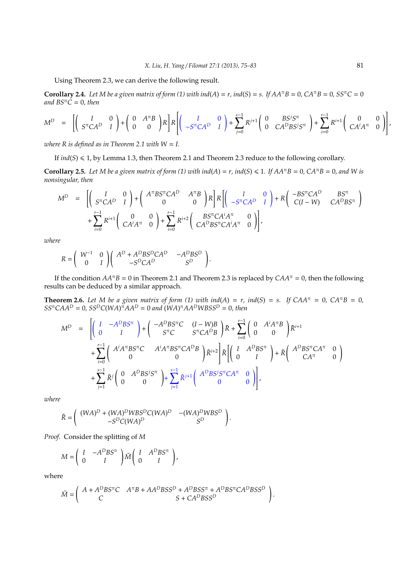Using Theorem 2.3, we can derive the following result.

**Corollary 2.4.** Let M be a given matrix of form (1) with ind( $A$ ) =  $r$ , ind( $S$ ) =  $s$ . If  $AA^{\pi}B = 0$ ,  $CA^{\pi}B = 0$ ,  $SS^{\pi}C = 0$ *and*  $BS^{\pi}C = 0$ *, then* 

$$
M^{D} = \left[ \begin{pmatrix} I & 0 \\ S^{\pi}CA^{D} & I \end{pmatrix} + \begin{pmatrix} 0 & A^{\pi}B \\ 0 & 0 \end{pmatrix} R \right] R \left[ \begin{pmatrix} I & 0 \\ -S^{\pi}CA^{D} & I \end{pmatrix} + \sum_{j=0}^{s-1} R^{j+1} \begin{pmatrix} 0 & BS^{j}S^{\pi} \\ 0 & CA^{D}BS^{j}S^{\pi} \end{pmatrix} + \sum_{i=0}^{r-1} R^{i+1} \begin{pmatrix} 0 & 0 \\ CA^{i}A^{\pi} & 0 \end{pmatrix} \right],
$$

*where R is defined as in Theorem 2.1 with*  $W = I$ *.* 

If  $ind(S) \le 1$ , by Lemma 1.3, then Theorem 2.1 and Theorem 2.3 reduce to the following corollary.

**Corollary 2.5.** *Let M be a given matrix of form (1) with ind*(*A*) = *r, ind*(*S*)  $\leq$  1*. If AA*<sup> $π$ </sup>*B* = 0*, CA*<sup> $π$ </sup>*B* = 0*, and W is nonsingular, then*

$$
M^{D} = \left[ \begin{pmatrix} I & 0 \\ S^{\pi}CA^{D} & I \end{pmatrix} + \begin{pmatrix} A^{\pi}BS^{\pi}CA^{D} & A^{\pi}B \\ 0 & 0 \end{pmatrix} R \right] R \left[ \begin{pmatrix} I & 0 \\ -S^{\pi}CA^{D} & I \end{pmatrix} + R \begin{pmatrix} -BS^{\pi}CA^{D} & BS^{\pi} \\ C(I-W) & CA^{D}BS^{\pi} \end{pmatrix} + \sum_{i=0}^{r-1} R^{i+1} \begin{pmatrix} 0 & 0 \\ CA^{i}A^{\pi} & 0 \end{pmatrix} + \sum_{i=0}^{r-1} R^{i+2} \begin{pmatrix} BS^{\pi}CA^{i}A^{\pi} & 0 \\ CA^{D}BS^{\pi}CA^{i}A^{\pi} & 0 \end{pmatrix} \right],
$$

*where*

$$
R = \left(\begin{array}{cc} W^{-1} & 0 \\ 0 & I \end{array}\right) \left(\begin{array}{cc} A^D + A^D B S^D C A^D & -A^D B S^D \\ -S^D C A^D & S^D \end{array}\right).
$$

If the condition  $AA^{\pi}B = 0$  in Theorem 2.1 and Theorem 2.3 is replaced by  $CAA^{\pi} = 0$ , then the following results can be deduced by a similar approach.

**Theorem 2.6.** Let M be a given matrix of form (1) with ind(A) =  $r$ , ind(S) =  $s$ . If CAA<sup> $π$ </sup> = 0, CA<sup>π</sup> $B = 0$ ,  $SS^{\pi}CAA^{D} = 0$ ,  $SS^{D}C(WA)^{\pi}AA^{D} = 0$  and  $(WA)^{\pi}AA^{D}WBSS^{D} = 0$ , then

$$
M^{D} = \left[ \begin{pmatrix} I & -A^{D}BS^{\pi} \\ 0 & I \end{pmatrix} + \begin{pmatrix} -A^{D}BS^{\pi}C & (I-W)B \\ S^{\pi}C & S^{\pi}CA^{D}B \end{pmatrix} \tilde{R} + \sum_{i=0}^{r-1} \begin{pmatrix} 0 & A^{i}A^{\pi}B \\ 0 & 0 \end{pmatrix} \tilde{R}^{i+1} + \sum_{i=0}^{r-1} \begin{pmatrix} A^{i}A^{\pi}BS^{\pi}C & A^{i}A^{\pi}BS^{\pi}CA^{D}B \\ 0 & 0 \end{pmatrix} \tilde{R}^{i+2} \right] \tilde{R} \left[ \begin{pmatrix} I & A^{D}BS^{\pi} \\ 0 & I \end{pmatrix} + \tilde{R} \begin{pmatrix} A^{D}BS^{\pi}CA^{\pi} & 0 \\ CA^{\pi} & 0 \end{pmatrix} \right] + \sum_{j=1}^{s-1} \tilde{R}^{j} \begin{pmatrix} 0 & A^{D}BS^{j}S^{\pi} \\ 0 & 0 \end{pmatrix} + \sum_{j=1}^{s-1} \tilde{R}^{j+1} \begin{pmatrix} A^{D}BS^{j}S^{\pi}CA^{\pi} & 0 \\ 0 & 0 \end{pmatrix} \right],
$$

*where*

$$
\tilde{R} = \begin{pmatrix} (WA)^D + (WA)^D WBS^D C (WA)^D & -(WA)^D WBS^D \\ -S^D C (WA)^D & S^D \end{pmatrix}.
$$

*Proof.* Consider the splitting of *M*

$$
M = \left(\begin{array}{cc} I & -A^D B S^{\pi} \\ 0 & I \end{array}\right) \tilde{M} \left(\begin{array}{cc} I & A^D B S^{\pi} \\ 0 & I \end{array}\right),
$$

where

$$
\tilde{M} = \begin{pmatrix} A + A^D B S^{\pi} C & A^{\pi} B + A A^D B S S^D + A^D B S S^{\pi} + A^D B S^{\pi} C A^D B S S^D \\ C & S + C A^D B S S^D \end{pmatrix}.
$$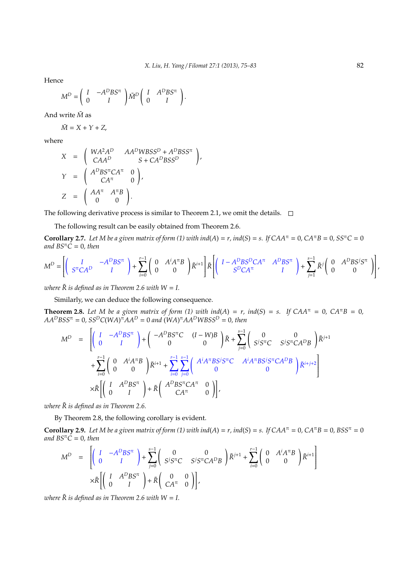Hence

$$
M^D = \left(\begin{array}{cc} I & -A^DBS^{\pi} \\ 0 & I \end{array}\right) \tilde{M}^D \left(\begin{array}{cc} I & A^DBS^{\pi} \\ 0 & I \end{array}\right).
$$

And write *M*˜ as

$$
\tilde{M} = X + Y + Z,
$$

where

$$
X = \begin{pmatrix} WA^{2}A^{D} & AA^{D}WBSS^{D} + A^{D}BSS^{\pi} \\ CAA^{D} & S + CA^{D}BSS^{D} \end{pmatrix},
$$
  
\n
$$
Y = \begin{pmatrix} A^{D}BS^{\pi}CA^{\pi} & 0 \\ CA^{\pi} & 0 \end{pmatrix},
$$
  
\n
$$
Z = \begin{pmatrix} AA^{\pi} & A^{\pi}B \\ 0 & 0 \end{pmatrix}.
$$

The following derivative process is similar to Theorem 2.1, we omit the details.  $\square$ 

The following result can be easily obtained from Theorem 2.6.

**Corollary 2.7.** Let M be a given matrix of form (1) with ind( $A$ ) =  $r$ , ind( $S$ ) =  $s$ . If  $CAA^{\pi} = 0$ ,  $CA^{\pi}B = 0$ ,  $SS^{\pi}C = 0$ *and*  $BS^{\pi}C = 0$ *, then* 

$$
M^D = \left[ \left( \begin{array}{cc} I & -A^D B S^{\pi} \\ S^{\pi} C A^D & I \end{array} \right) + \sum_{i=0}^{r-1} \left( \begin{array}{cc} 0 & A^i A^{\pi} B \\ 0 & 0 \end{array} \right) \tilde{R}^{i+1} \right] \tilde{R} \left[ \left( \begin{array}{cc} I - A^D B S^D C A^{\pi} & A^D B S^{\pi} \\ S^D C A^{\pi} & I \end{array} \right) + \sum_{j=1}^{s-1} \tilde{R}^j \left( \begin{array}{cc} 0 & A^D B S^j S^{\pi} \\ 0 & 0 \end{array} \right) \right],
$$

*where*  $\tilde{R}$  *is defined as in Theorem 2.6 with*  $W = I$ *.* 

Similarly, we can deduce the following consequence.

**Theorem 2.8.** Let M be a given matrix of form (1) with ind(A) = r, ind(S) = s. If  $CAA^{\pi} = 0$ ,  $CA^{\pi}B = 0$ ,  $AA^DBSS^{\pi} = 0$ ,  $SS^DC(WA)^{\pi}AA^D = 0$  and  $(WA)^{\pi}AA^DWBSS^D = 0$ , then

$$
M^{D} = \left[ \begin{pmatrix} I & -A^{D}BS^{\pi} \\ 0 & I \end{pmatrix} + \begin{pmatrix} -A^{D}BS^{\pi}C & (I-W)B \\ 0 & 0 \end{pmatrix} \tilde{R} + \sum_{j=0}^{s-1} \begin{pmatrix} 0 & 0 \\ S^{j}S^{\pi}C & S^{j}S^{\pi}C A^{D}B \end{pmatrix} \tilde{R}^{j+1} \right] + \sum_{i=0}^{r-1} \begin{pmatrix} 0 & A^{i}A^{\pi}B \\ 0 & 0 \end{pmatrix} \tilde{R}^{i+1} + \sum_{i=0}^{r-1} \sum_{j=0}^{s-1} \begin{pmatrix} A^{i}A^{\pi}BS^{j}S^{\pi}C & A^{i}A^{\pi}BS^{j}S^{\pi}C A^{D}B \\ 0 & 0 \end{pmatrix} \tilde{R}^{i+j+2} \right] \times \tilde{R} \left[ \begin{pmatrix} I & A^{D}BS^{\pi} \\ 0 & I \end{pmatrix} + \tilde{R} \begin{pmatrix} A^{D}BS^{\pi}CA^{\pi} & 0 \\ CA^{\pi} & 0 \end{pmatrix} \right],
$$

*where*  $\tilde{R}$  *is defined as in Theorem 2.6.* 

By Theorem 2.8, the following corollary is evident.

**Corollary 2.9.** Let M be a given matrix of form (1) with ind( $A$ ) =  $r$ , ind( $S$ ) =  $s$ . If  $CAA^{\pi} = 0$ ,  $CA^{\pi}B = 0$ ,  $BSS^{\pi} = 0$ *and*  $BS^{\pi}C = 0$ *, then* 

$$
\begin{array}{rcl} M^D & = & \displaystyle \left[ \left( \begin{array}{cc} I & -A^DBS^{\pi} \\ 0 & I \end{array} \right) + \sum_{j=0}^{s-1} \left( \begin{array}{cc} 0 & 0 \\ S^j S^{\pi} C & S^j S^{\pi} C A^DB \end{array} \right) \tilde{R}^{j+1} + \sum_{i=0}^{r-1} \left( \begin{array}{cc} 0 & A^i A^{\pi} B \\ 0 & 0 \end{array} \right) \tilde{R}^{i+1} \right] \\ & & \times \tilde{R} \left[ \left( \begin{array}{cc} I & A^DBS^{\pi} \\ 0 & I \end{array} \right) + \tilde{R} \left( \begin{array}{cc} 0 & 0 \\ CA^{\pi} & 0 \end{array} \right) \right], \end{array}
$$

*where*  $\tilde{R}$  *is defined as in Theorem 2.6 with*  $W = I$ *.*